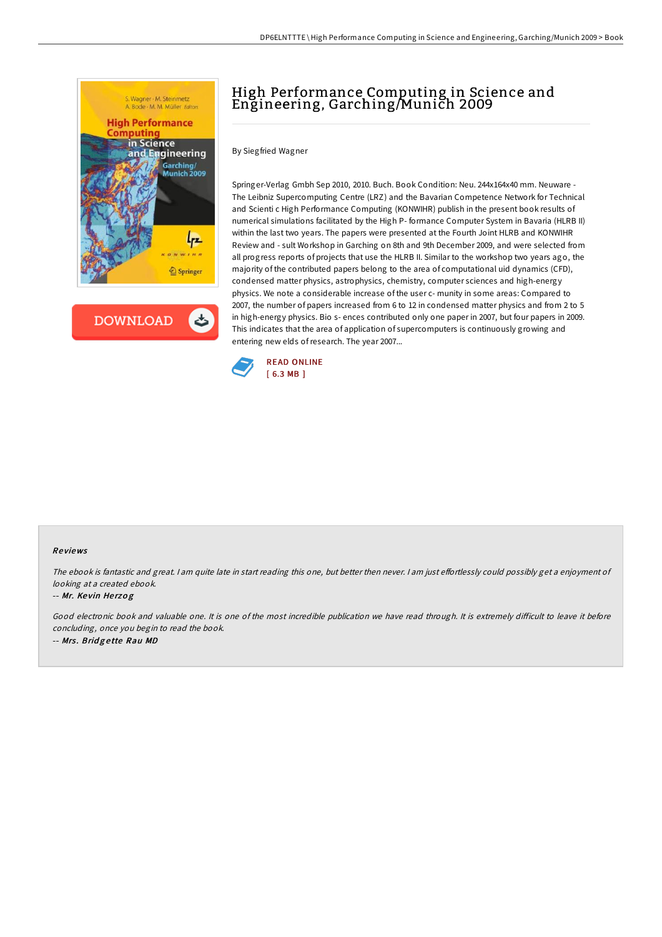

**DOWNLOAD** 

ٹ

# High Performance Computing in Science and Engineering, Garching/Munich 2009

By Siegfried Wagner

Springer-Verlag Gmbh Sep 2010, 2010. Buch. Book Condition: Neu. 244x164x40 mm. Neuware - The Leibniz Supercomputing Centre (LRZ) and the Bavarian Competence Network for Technical and Scienti c High Performance Computing (KONWIHR) publish in the present book results of numerical simulations facilitated by the High P- formance Computer System in Bavaria (HLRB II) within the last two years. The papers were presented at the Fourth Joint HLRB and KONWIHR Review and - sult Workshop in Garching on 8th and 9th December 2009, and were selected from all progress reports of projects that use the HLRB II. Similar to the workshop two years ago, the majority of the contributed papers belong to the area of computational uid dynamics (CFD), condensed matter physics, astrophysics, chemistry, computer sciences and high-energy physics. We note a considerable increase of the user c- munity in some areas: Compared to 2007, the number of papers increased from 6 to 12 in condensed matter physics and from 2 to 5 in high-energy physics. Bio s- ences contributed only one paper in 2007, but four papers in 2009. This indicates that the area of application of supercomputers is continuously growing and entering new elds ofresearch. The year 2007...



### Re views

The ebook is fantastic and great. I am quite late in start reading this one, but better then never. I am just effortlessly could possibly get a enjoyment of looking at <sup>a</sup> created ebook.

#### -- Mr. Ke vin He rzo g

Good electronic book and valuable one. It is one of the most incredible publication we have read through. It is extremely difficult to leave it before concluding, once you begin to read the book. -- Mrs. Bridgette Rau MD